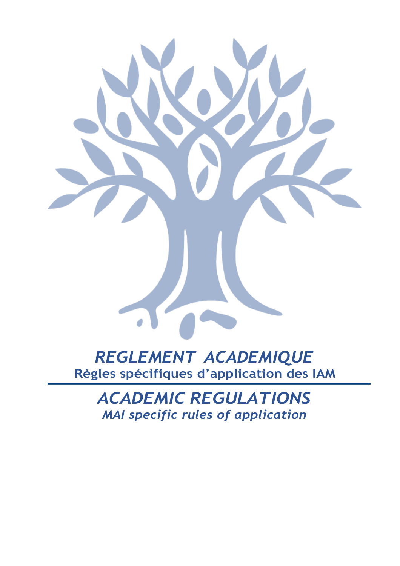## *REGLEMENT ACADEMIQUE* **Règles spécifiques d'application des IAM**

*ACADEMIC REGULATIONS MAI specific rules of application*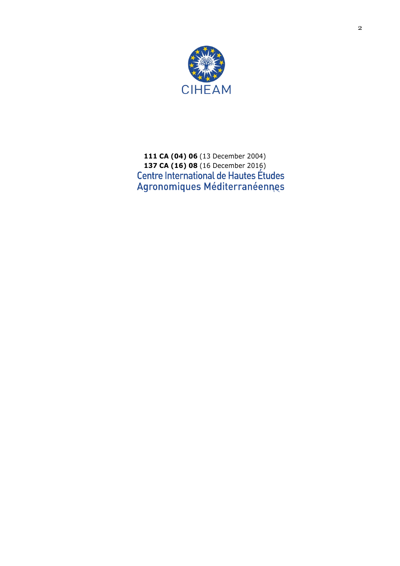

 **CA (04) 06** (13 December 2004) **CA (16) 08** (16 December 2016)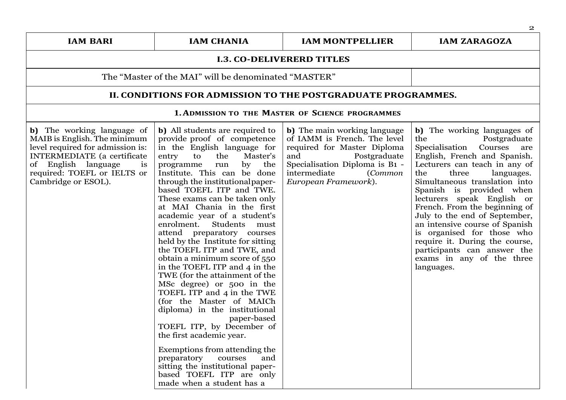| <b>IAM BARI</b>                                                                                                                                                                                                         | <b>IAM CHANIA</b>                                                                                                                                                                                                                                                                                                                                                                                                                                                                                                                                                                                                                                                                                                                                                                                                                                                                                                                                              | <b>IAM MONTPELLIER</b>                                                                                                                                                                                 | <b>IAM ZARAGOZA</b>                                                                                                                                                                                                                                                                                                                                                                                                                                                                                                            |
|-------------------------------------------------------------------------------------------------------------------------------------------------------------------------------------------------------------------------|----------------------------------------------------------------------------------------------------------------------------------------------------------------------------------------------------------------------------------------------------------------------------------------------------------------------------------------------------------------------------------------------------------------------------------------------------------------------------------------------------------------------------------------------------------------------------------------------------------------------------------------------------------------------------------------------------------------------------------------------------------------------------------------------------------------------------------------------------------------------------------------------------------------------------------------------------------------|--------------------------------------------------------------------------------------------------------------------------------------------------------------------------------------------------------|--------------------------------------------------------------------------------------------------------------------------------------------------------------------------------------------------------------------------------------------------------------------------------------------------------------------------------------------------------------------------------------------------------------------------------------------------------------------------------------------------------------------------------|
|                                                                                                                                                                                                                         |                                                                                                                                                                                                                                                                                                                                                                                                                                                                                                                                                                                                                                                                                                                                                                                                                                                                                                                                                                | <b>I.3. CO-DELIVERERD TITLES</b>                                                                                                                                                                       |                                                                                                                                                                                                                                                                                                                                                                                                                                                                                                                                |
|                                                                                                                                                                                                                         | The "Master of the MAI" will be denominated "MASTER"                                                                                                                                                                                                                                                                                                                                                                                                                                                                                                                                                                                                                                                                                                                                                                                                                                                                                                           |                                                                                                                                                                                                        |                                                                                                                                                                                                                                                                                                                                                                                                                                                                                                                                |
|                                                                                                                                                                                                                         | II. CONDITIONS FOR ADMISSION TO THE POSTGRADUATE PROGRAMMES.                                                                                                                                                                                                                                                                                                                                                                                                                                                                                                                                                                                                                                                                                                                                                                                                                                                                                                   |                                                                                                                                                                                                        |                                                                                                                                                                                                                                                                                                                                                                                                                                                                                                                                |
|                                                                                                                                                                                                                         |                                                                                                                                                                                                                                                                                                                                                                                                                                                                                                                                                                                                                                                                                                                                                                                                                                                                                                                                                                | <b>1. ADMISSION TO THE MASTER OF SCIENCE PROGRAMMES</b>                                                                                                                                                |                                                                                                                                                                                                                                                                                                                                                                                                                                                                                                                                |
| b) The working language of<br>MAIB is English. The minimum<br>level required for admission is:<br><b>INTERMEDIATE</b> (a certificate<br>of English language<br>is<br>required: TOEFL or IELTS or<br>Cambridge or ESOL). | b) All students are required to<br>provide proof of competence<br>in the English language for<br>entry<br>to<br>the<br>Master's<br>programme<br>run<br>by the<br>Institute. This can be done<br>through the institutional paper-<br>based TOEFL ITP and TWE.<br>These exams can be taken only<br>at MAI Chania in the first<br>academic year of a student's<br>enrolment. Students<br>must<br>attend preparatory courses<br>held by the Institute for sitting<br>the TOEFL ITP and TWE, and<br>obtain a minimum score of 550<br>in the TOEFL ITP and 4 in the<br>TWE (for the attainment of the<br>MSc degree) or 500 in the<br>TOEFL ITP and 4 in the TWE<br>(for the Master of MAICh<br>diploma) in the institutional<br>paper-based<br>TOEFL ITP, by December of<br>the first academic year.<br>Exemptions from attending the<br>preparatory<br>courses<br>and<br>sitting the institutional paper-<br>based TOEFL ITP are only<br>made when a student has a | b) The main working language<br>of IAMM is French. The level<br>required for Master Diploma<br>and<br>Postgraduate<br>Specialisation Diploma is B1 -<br>intermediate<br>Common<br>European Framework). | b) The working languages of<br>the<br>Postgraduate<br>Specialisation<br>Courses<br>are<br>English, French and Spanish.<br>Lecturers can teach in any of<br>the<br>three<br>languages.<br>Simultaneous translation into<br>Spanish is provided when<br>lecturers speak English or<br>French. From the beginning of<br>July to the end of September,<br>an intensive course of Spanish<br>is organised for those who<br>require it. During the course,<br>participants can answer the<br>exams in any of the three<br>languages. |

2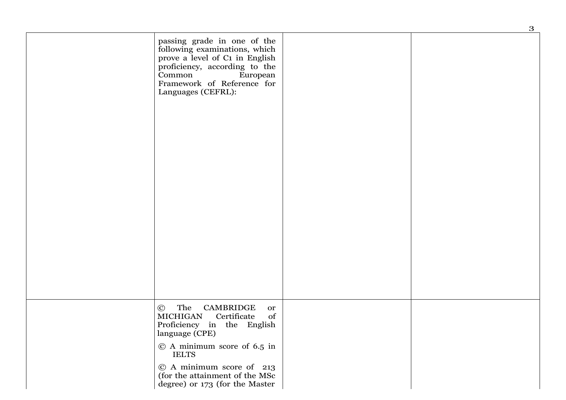|                                                                                                                                                                                                                                                                | 3 |
|----------------------------------------------------------------------------------------------------------------------------------------------------------------------------------------------------------------------------------------------------------------|---|
| passing grade in one of the<br>following examinations, which<br>prove a level of C1 in English<br>proficiency, according to the<br>Common<br>European<br>Framework of Reference for<br>Languages (CEFRL):                                                      |   |
|                                                                                                                                                                                                                                                                |   |
|                                                                                                                                                                                                                                                                |   |
| © The<br>CAMBRIDGE<br>or<br>MICHIGAN<br>of<br>Certificate<br>Proficiency in the English<br>language (CPE)<br>$\odot$ A minimum score of 6.5 in<br><b>IELTS</b><br>© A minimum score of 213<br>(for the attainment of the MSc<br>degree) or 173 (for the Master |   |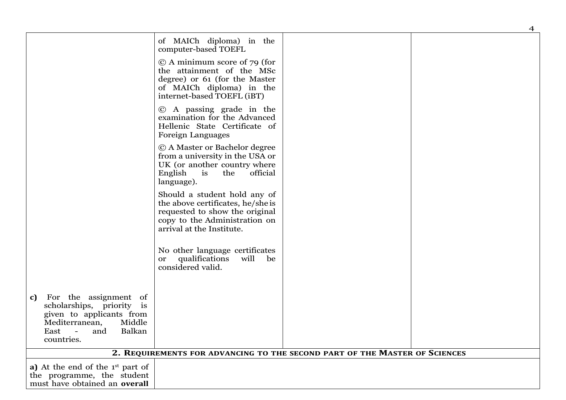|                                                                                                                                                                                     |                                                                                                                                                                   |                                                                            | $\overline{4}$ |
|-------------------------------------------------------------------------------------------------------------------------------------------------------------------------------------|-------------------------------------------------------------------------------------------------------------------------------------------------------------------|----------------------------------------------------------------------------|----------------|
|                                                                                                                                                                                     | of MAICh diploma) in the<br>computer-based TOEFL                                                                                                                  |                                                                            |                |
|                                                                                                                                                                                     | $\odot$ A minimum score of 79 (for<br>the attainment of the MSc<br>degree) or 61 (for the Master<br>of MAICh diploma) in the<br>internet-based TOEFL (iBT)        |                                                                            |                |
|                                                                                                                                                                                     | © A passing grade in the<br>examination for the Advanced<br>Hellenic State Certificate of<br>Foreign Languages                                                    |                                                                            |                |
|                                                                                                                                                                                     | © A Master or Bachelor degree<br>from a university in the USA or<br>UK (or another country where<br>English<br>$\mathbf{is}$<br>the<br>official<br>language).     |                                                                            |                |
|                                                                                                                                                                                     | Should a student hold any of<br>the above certificates, he/she is<br>requested to show the original<br>copy to the Administration on<br>arrival at the Institute. |                                                                            |                |
|                                                                                                                                                                                     | No other language certificates<br>qualifications<br>will<br>be<br><b>or</b><br>considered valid.                                                                  |                                                                            |                |
| For the assignment of<br>c)<br>scholarships, priority is<br>given to applicants from<br>Mediterranean,<br>Middle<br>Balkan<br>East<br>and<br>$\overline{\phantom{a}}$<br>countries. |                                                                                                                                                                   |                                                                            |                |
|                                                                                                                                                                                     |                                                                                                                                                                   | 2. REQUIREMENTS FOR ADVANCING TO THE SECOND PART OF THE MASTER OF SCIENCES |                |
| a) At the end of the $1st$ part of<br>the programme, the student<br>must have obtained an overall                                                                                   |                                                                                                                                                                   |                                                                            |                |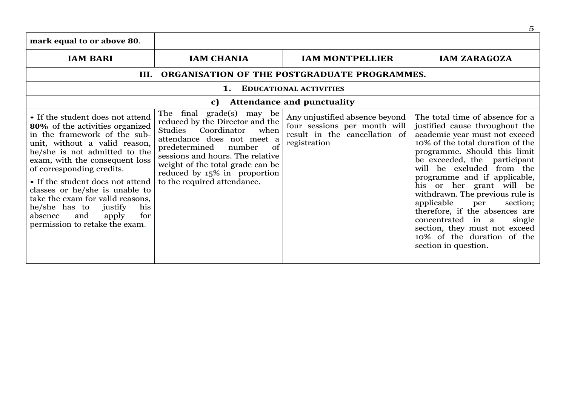| mark equal to or above 80.                                                                                                                                                                                                                                                                                                                                                                                                                            |                                                                                                                                                                                                                                                                                                      |                                                                                                                 |                                                                                                                                                                                                                                                                                                                                                                                                                                                                                                                             |
|-------------------------------------------------------------------------------------------------------------------------------------------------------------------------------------------------------------------------------------------------------------------------------------------------------------------------------------------------------------------------------------------------------------------------------------------------------|------------------------------------------------------------------------------------------------------------------------------------------------------------------------------------------------------------------------------------------------------------------------------------------------------|-----------------------------------------------------------------------------------------------------------------|-----------------------------------------------------------------------------------------------------------------------------------------------------------------------------------------------------------------------------------------------------------------------------------------------------------------------------------------------------------------------------------------------------------------------------------------------------------------------------------------------------------------------------|
| <b>IAM BARI</b>                                                                                                                                                                                                                                                                                                                                                                                                                                       | <b>IAM CHANIA</b>                                                                                                                                                                                                                                                                                    | <b>IAM MONTPELLIER</b>                                                                                          | <b>IAM ZARAGOZA</b>                                                                                                                                                                                                                                                                                                                                                                                                                                                                                                         |
|                                                                                                                                                                                                                                                                                                                                                                                                                                                       | III. ORGANISATION OF THE POSTGRADUATE PROGRAMMES.                                                                                                                                                                                                                                                    |                                                                                                                 |                                                                                                                                                                                                                                                                                                                                                                                                                                                                                                                             |
|                                                                                                                                                                                                                                                                                                                                                                                                                                                       | 1.                                                                                                                                                                                                                                                                                                   | <b>EDUCATIONAL ACTIVITIES</b>                                                                                   |                                                                                                                                                                                                                                                                                                                                                                                                                                                                                                                             |
|                                                                                                                                                                                                                                                                                                                                                                                                                                                       | C)                                                                                                                                                                                                                                                                                                   | <b>Attendance and punctuality</b>                                                                               |                                                                                                                                                                                                                                                                                                                                                                                                                                                                                                                             |
| • If the student does not attend<br>80% of the activities organized<br>in the framework of the sub-<br>unit, without a valid reason,<br>he/she is not admitted to the<br>exam, with the consequent loss<br>of corresponding credits.<br>• If the student does not attend<br>classes or he/she is unable to<br>take the exam for valid reasons,<br>he/she has to<br>justify<br>his<br>and<br>apply<br>absence<br>for<br>permission to retake the exam. | The final grade(s) may be<br>reduced by the Director and the<br>Coordinator<br>Studies<br>when<br>attendance does not meet a<br>predetermined<br>of<br>number<br>sessions and hours. The relative<br>weight of the total grade can be<br>reduced by 15% in proportion<br>to the required attendance. | Any unjustified absence beyond<br>four sessions per month will<br>result in the cancellation of<br>registration | The total time of absence for a<br>justified cause throughout the<br>academic year must not exceed<br>10% of the total duration of the<br>programme. Should this limit<br>be exceeded, the participant<br>will be excluded from the<br>programme and if applicable,<br>his or her grant will be<br>withdrawn. The previous rule is<br>applicable<br>per<br>section;<br>therefore, if the absences are<br>concentrated in a<br>single<br>section, they must not exceed<br>10% of the duration of the<br>section in question. |

5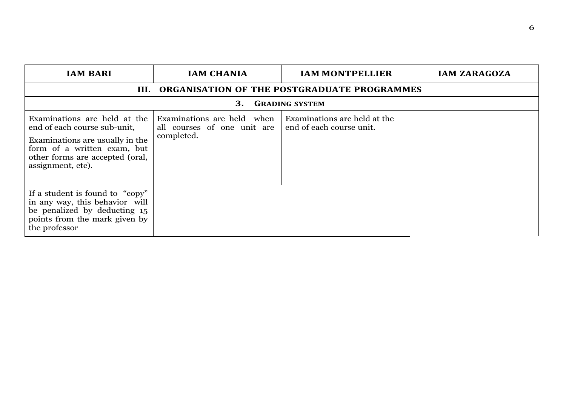| <b>IAM BARI</b>                                                                                                                                                                        | <b>IAM CHANIA</b>                                                       | <b>IAM MONTPELLIER</b>                                   | <b>IAM ZARAGOZA</b> |
|----------------------------------------------------------------------------------------------------------------------------------------------------------------------------------------|-------------------------------------------------------------------------|----------------------------------------------------------|---------------------|
|                                                                                                                                                                                        |                                                                         | III. ORGANISATION OF THE POSTGRADUATE PROGRAMMES         |                     |
|                                                                                                                                                                                        | 3.                                                                      | <b>GRADING SYSTEM</b>                                    |                     |
| Examinations are held at the<br>end of each course sub-unit,<br>Examinations are usually in the<br>form of a written exam, but<br>other forms are accepted (oral,<br>assignment, etc). | Examinations are held when<br>all courses of one unit are<br>completed. | Examinations are held at the<br>end of each course unit. |                     |
| If a student is found to "copy"<br>in any way, this behavior will<br>be penalized by deducting 15<br>points from the mark given by<br>the professor                                    |                                                                         |                                                          |                     |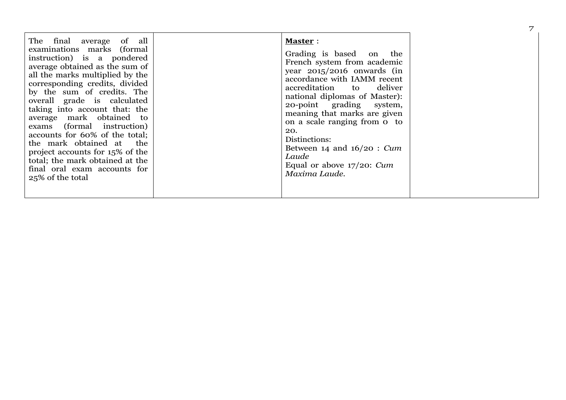| The final average of all<br>examinations marks (formal<br>instruction) is a pondered<br>average obtained as the sum of<br>all the marks multiplied by the<br>corresponding credits, divided<br>by the sum of credits. The<br>overall grade is calculated<br>taking into account that: the<br>average mark obtained to<br>exams (formal instruction)<br>accounts for 60% of the total;<br>the mark obtained at the<br>project accounts for 15% of the<br>total; the mark obtained at the<br>final oral exam accounts for<br>25% of the total | <b>Master:</b><br>Grading is based on the<br>French system from academic<br>year $2015/2016$ onwards (in<br>accordance with IAMM recent<br>accreditation to deliver<br>national diplomas of Master):<br>20-point grading system,<br>meaning that marks are given<br>on a scale ranging from o to<br>20.<br>Distinctions:<br>Between 14 and $16/20$ : Cum<br>Laude<br>Equal or above $17/20$ : Cum<br>Maxima Laude. |  | 7 |
|---------------------------------------------------------------------------------------------------------------------------------------------------------------------------------------------------------------------------------------------------------------------------------------------------------------------------------------------------------------------------------------------------------------------------------------------------------------------------------------------------------------------------------------------|--------------------------------------------------------------------------------------------------------------------------------------------------------------------------------------------------------------------------------------------------------------------------------------------------------------------------------------------------------------------------------------------------------------------|--|---|
|---------------------------------------------------------------------------------------------------------------------------------------------------------------------------------------------------------------------------------------------------------------------------------------------------------------------------------------------------------------------------------------------------------------------------------------------------------------------------------------------------------------------------------------------|--------------------------------------------------------------------------------------------------------------------------------------------------------------------------------------------------------------------------------------------------------------------------------------------------------------------------------------------------------------------------------------------------------------------|--|---|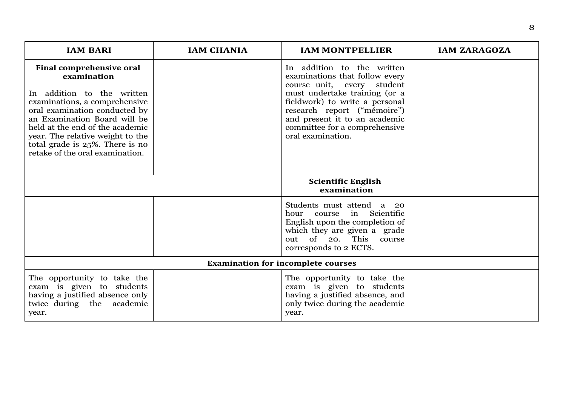| <b>IAM BARI</b>                                                                                                                                                                                                                                                           | <b>IAM CHANIA</b> | <b>IAM MONTPELLIER</b>                                                                                                                                                                | <b>IAM ZARAGOZA</b> |  |
|---------------------------------------------------------------------------------------------------------------------------------------------------------------------------------------------------------------------------------------------------------------------------|-------------------|---------------------------------------------------------------------------------------------------------------------------------------------------------------------------------------|---------------------|--|
| <b>Final comprehensive oral</b><br>examination                                                                                                                                                                                                                            |                   | In addition to the written<br>examinations that follow every<br>course unit, every student                                                                                            |                     |  |
| In addition to the written<br>examinations, a comprehensive<br>oral examination conducted by<br>an Examination Board will be<br>held at the end of the academic<br>year. The relative weight to the<br>total grade is 25%. There is no<br>retake of the oral examination. |                   | must undertake training (or a<br>fieldwork) to write a personal<br>research report ("mémoire")<br>and present it to an academic<br>committee for a comprehensive<br>oral examination. |                     |  |
|                                                                                                                                                                                                                                                                           |                   | <b>Scientific English</b><br>examination                                                                                                                                              |                     |  |
|                                                                                                                                                                                                                                                                           |                   | Students must attend a 20<br>in Scientific<br>hour<br>course<br>English upon the completion of<br>which they are given a grade<br>out of 20. This course<br>corresponds to 2 ECTS.    |                     |  |
| <b>Examination for incomplete courses</b>                                                                                                                                                                                                                                 |                   |                                                                                                                                                                                       |                     |  |
| The opportunity to take the<br>exam is given to students<br>having a justified absence only<br>twice during the academic<br>year.                                                                                                                                         |                   | The opportunity to take the<br>exam is given to students<br>having a justified absence, and<br>only twice during the academic<br>year.                                                |                     |  |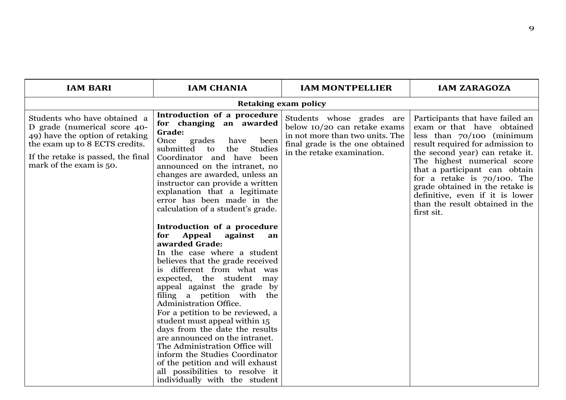| <b>IAM BARI</b>                                                                                                                                                                                    | <b>IAM CHANIA</b>                                                                                                                                                                                                                                                                                                                                                                                                                                                                                                                                                                                                                                                                                                                                                                                                                                                                                                                                                                                            | <b>IAM MONTPELLIER</b>                                                                                                                                        | <b>IAM ZARAGOZA</b>                                                                                                                                                                                                                                                                                                                                                                           |
|----------------------------------------------------------------------------------------------------------------------------------------------------------------------------------------------------|--------------------------------------------------------------------------------------------------------------------------------------------------------------------------------------------------------------------------------------------------------------------------------------------------------------------------------------------------------------------------------------------------------------------------------------------------------------------------------------------------------------------------------------------------------------------------------------------------------------------------------------------------------------------------------------------------------------------------------------------------------------------------------------------------------------------------------------------------------------------------------------------------------------------------------------------------------------------------------------------------------------|---------------------------------------------------------------------------------------------------------------------------------------------------------------|-----------------------------------------------------------------------------------------------------------------------------------------------------------------------------------------------------------------------------------------------------------------------------------------------------------------------------------------------------------------------------------------------|
|                                                                                                                                                                                                    |                                                                                                                                                                                                                                                                                                                                                                                                                                                                                                                                                                                                                                                                                                                                                                                                                                                                                                                                                                                                              | <b>Retaking exam policy</b>                                                                                                                                   |                                                                                                                                                                                                                                                                                                                                                                                               |
| Students who have obtained a<br>D grade (numerical score 40-<br>49) have the option of retaking<br>the exam up to 8 ECTS credits.<br>If the retake is passed, the final<br>mark of the exam is 50. | Introduction of a procedure<br>for changing an awarded<br>Grade:<br>grades<br>Once<br>have<br>been<br>submitted<br>Studies<br>the<br>to<br>Coordinator and have been<br>announced on the intranet, no<br>changes are awarded, unless an<br>instructor can provide a written<br>explanation that a legitimate<br>error has been made in the<br>calculation of a student's grade.<br>Introduction of a procedure<br>Appeal<br>for<br>against<br>an<br>awarded Grade:<br>In the case where a student<br>believes that the grade received<br>is different from what was<br>expected, the student may<br>appeal against the grade by<br>filing a petition with the<br>Administration Office.<br>For a petition to be reviewed, a<br>student must appeal within 15<br>days from the date the results<br>are announced on the intranet.<br>The Administration Office will<br>inform the Studies Coordinator<br>of the petition and will exhaust<br>all possibilities to resolve it<br>individually with the student | Students whose grades are<br>below 10/20 can retake exams<br>in not more than two units. The<br>final grade is the one obtained<br>in the retake examination. | Participants that have failed an<br>exam or that have obtained<br>less than $70/100$ (minimum<br>result required for admission to<br>the second year) can retake it.<br>The highest numerical score<br>that a participant can obtain<br>for a retake is $70/100$ . The<br>grade obtained in the retake is<br>definitive, even if it is lower<br>than the result obtained in the<br>first sit. |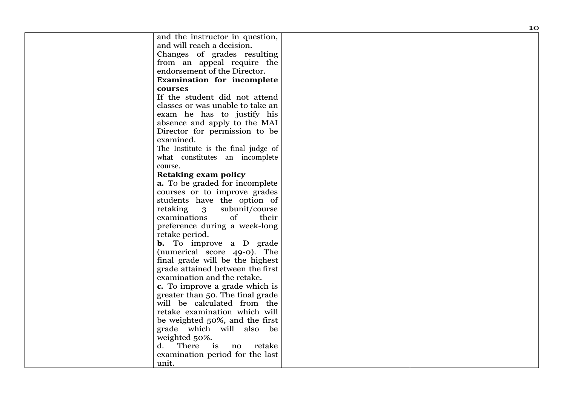|                                              | 10 |
|----------------------------------------------|----|
| and the instructor in question,              |    |
| and will reach a decision.                   |    |
| Changes of grades resulting                  |    |
| from an appeal require the                   |    |
| endorsement of the Director.                 |    |
| <b>Examination for incomplete</b>            |    |
| courses                                      |    |
| If the student did not attend                |    |
| classes or was unable to take an             |    |
| exam he has to justify his                   |    |
| absence and apply to the MAI                 |    |
| Director for permission to be                |    |
| examined.                                    |    |
| The Institute is the final judge of          |    |
| what constitutes an incomplete               |    |
| course.                                      |    |
| <b>Retaking exam policy</b>                  |    |
| a. To be graded for incomplete               |    |
| courses or to improve grades                 |    |
| students have the option of                  |    |
| retaking<br>$\overline{3}$<br>subunit/course |    |
| examinations<br>of<br>their                  |    |
| preference during a week-long                |    |
| retake period.                               |    |
| <b>b.</b> To improve a D grade               |    |
| (numerical score 49-0). The                  |    |
| final grade will be the highest              |    |
| grade attained between the first             |    |
| examination and the retake.                  |    |
| c. To improve a grade which is               |    |
| greater than 50. The final grade             |    |
| will be calculated from the                  |    |
| retake examination which will                |    |
| be weighted 50%, and the first               |    |
| grade which will also be                     |    |
| weighted 50%.                                |    |
| There<br>$\frac{1}{1}$<br>d.<br>retake<br>no |    |
| examination period for the last              |    |
| unit.                                        |    |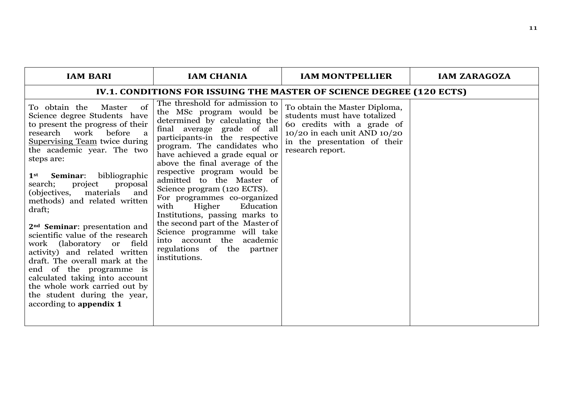| <b>IAM BARI</b>                                                                                                                                                                                                                                                                                                                                                                                                                                                                                                                                                                                                                                                                                                                      | <b>IAM CHANIA</b>                                                                                                                                                                                                                                                                                                                                                                                                                                                                                                                                                                                           | <b>IAM MONTPELLIER</b>                                                                                                                                                              | <b>IAM ZARAGOZA</b> |
|--------------------------------------------------------------------------------------------------------------------------------------------------------------------------------------------------------------------------------------------------------------------------------------------------------------------------------------------------------------------------------------------------------------------------------------------------------------------------------------------------------------------------------------------------------------------------------------------------------------------------------------------------------------------------------------------------------------------------------------|-------------------------------------------------------------------------------------------------------------------------------------------------------------------------------------------------------------------------------------------------------------------------------------------------------------------------------------------------------------------------------------------------------------------------------------------------------------------------------------------------------------------------------------------------------------------------------------------------------------|-------------------------------------------------------------------------------------------------------------------------------------------------------------------------------------|---------------------|
|                                                                                                                                                                                                                                                                                                                                                                                                                                                                                                                                                                                                                                                                                                                                      |                                                                                                                                                                                                                                                                                                                                                                                                                                                                                                                                                                                                             | IV.1. CONDITIONS FOR ISSUING THE MASTER OF SCIENCE DEGREE (120 ECTS)                                                                                                                |                     |
| of<br>To obtain the<br>Master<br>Science degree Students have<br>to present the progress of their<br>work<br>research<br>before<br><sub>a</sub><br><b>Supervising Team twice during</b><br>the academic year. The two<br>steps are:<br>bibliographic<br>Seminar:<br>$1$ st<br>project<br>proposal<br>search;<br>materials<br>(objectives,<br>and<br>methods) and related written<br>draft;<br>2 <sup>nd</sup> Seminar: presentation and<br>scientific value of the research<br>work (laboratory or field<br>activity) and related written<br>draft. The overall mark at the<br>end of the programme is<br>calculated taking into account<br>the whole work carried out by<br>the student during the year,<br>according to appendix 1 | The threshold for admission to<br>the MSc program would be<br>determined by calculating the<br>final average grade of all<br>participants-in the respective<br>program. The candidates who<br>have achieved a grade equal or<br>above the final average of the<br>respective program would be<br>admitted to the Master of<br>Science program (120 ECTS).<br>For programmes co-organized<br>Education<br>with<br>Higher<br>Institutions, passing marks to<br>the second part of the Master of<br>Science programme will take<br>into account the<br>academic<br>regulations of the partner<br>institutions. | To obtain the Master Diploma,<br>students must have totalized<br>60 credits with a grade of<br>$10/20$ in each unit AND $10/20$<br>in the presentation of their<br>research report. |                     |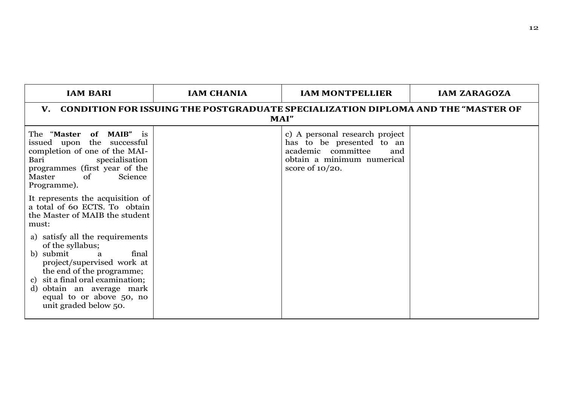| <b>IAM BARI</b>                                                                                                                                                                                                                                                                          | <b>IAM CHANIA</b>                                                                        | <b>IAM MONTPELLIER</b>                                                                                                                       | <b>IAM ZARAGOZA</b> |  |  |
|------------------------------------------------------------------------------------------------------------------------------------------------------------------------------------------------------------------------------------------------------------------------------------------|------------------------------------------------------------------------------------------|----------------------------------------------------------------------------------------------------------------------------------------------|---------------------|--|--|
| $\mathbf{V}_{\cdot}$                                                                                                                                                                                                                                                                     | CONDITION FOR ISSUING THE POSTGRADUATE SPECIALIZATION DIPLOMA AND THE "MASTER OF<br>MAI" |                                                                                                                                              |                     |  |  |
| The "Master of MAIB" is<br>issued upon the successful<br>completion of one of the MAI-<br>specialisation<br>Bari<br>programmes (first year of the<br>Science<br>Master<br>of<br>Programme).                                                                                              |                                                                                          | c) A personal research project<br>has to be presented to an<br>academic committee<br>and<br>obtain a minimum numerical<br>score of $10/20$ . |                     |  |  |
| It represents the acquisition of<br>a total of 60 ECTS. To obtain<br>the Master of MAIB the student<br>must:                                                                                                                                                                             |                                                                                          |                                                                                                                                              |                     |  |  |
| a) satisfy all the requirements<br>of the syllabus;<br>b) submit<br>final<br>$\overline{\mathbf{a}}$<br>project/supervised work at<br>the end of the programme;<br>sit a final oral examination;<br>c)<br>d) obtain an average mark<br>equal to or above 50, no<br>unit graded below 50. |                                                                                          |                                                                                                                                              |                     |  |  |